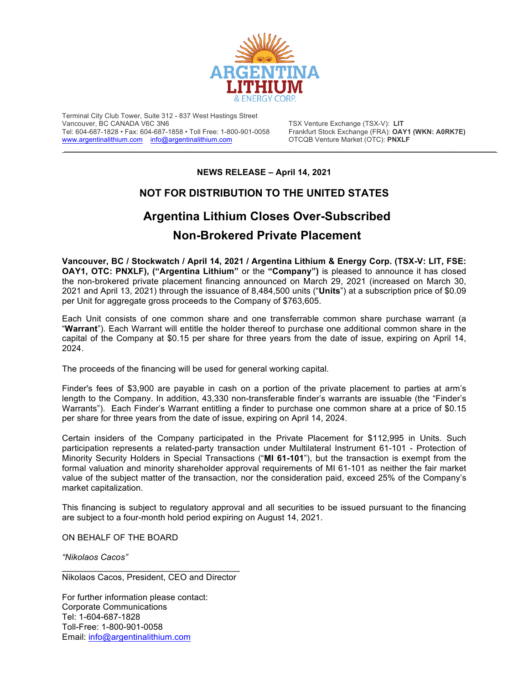

Terminal City Club Tower, Suite 312 - 837 West Hastings Street Tel: 604-687-1828 • Fax: 604-687-1858 • Toll Free: 1-800-901-0058 Frankfurt Stock Exchange (FRA): **OAY1** Www.argentinalithium.com info@argentinalithium.com **Frankfurt Stock Exchange (FRA): OAY1** (WW.argentinalithium.com in www.argentinalithium.com info@argentinalithium.com

TSX Venture Exchange (TSX-V): LIT<br>Frankfurt Stock Exchange (FRA): **OAY1 (WKN: A0RK7E)** 

**NEWS RELEASE – April 14, 2021**

 $\mathcal{L}_\mathcal{L} = \mathcal{L}_\mathcal{L} = \mathcal{L}_\mathcal{L} = \mathcal{L}_\mathcal{L} = \mathcal{L}_\mathcal{L} = \mathcal{L}_\mathcal{L} = \mathcal{L}_\mathcal{L} = \mathcal{L}_\mathcal{L} = \mathcal{L}_\mathcal{L} = \mathcal{L}_\mathcal{L} = \mathcal{L}_\mathcal{L} = \mathcal{L}_\mathcal{L} = \mathcal{L}_\mathcal{L} = \mathcal{L}_\mathcal{L} = \mathcal{L}_\mathcal{L} = \mathcal{L}_\mathcal{L} = \mathcal{L}_\mathcal{L}$ 

## **NOT FOR DISTRIBUTION TO THE UNITED STATES**

## **Argentina Lithium Closes Over-Subscribed Non-Brokered Private Placement**

**Vancouver, BC / Stockwatch / April 14, 2021 / Argentina Lithium & Energy Corp. (TSX-V: LIT, FSE: OAY1, OTC: PNXLF), ("Argentina Lithium"** or the **"Company")** is pleased to announce it has closed the non-brokered private placement financing announced on March 29, 2021 (increased on March 30, 2021 and April 13, 2021) through the issuance of 8,484,500 units ("**Units**") at a subscription price of \$0.09 per Unit for aggregate gross proceeds to the Company of \$763,605.

Each Unit consists of one common share and one transferrable common share purchase warrant (a "**Warrant**"). Each Warrant will entitle the holder thereof to purchase one additional common share in the capital of the Company at \$0.15 per share for three years from the date of issue, expiring on April 14, 2024.

The proceeds of the financing will be used for general working capital.

Finder's fees of \$3,900 are payable in cash on a portion of the private placement to parties at arm's length to the Company. In addition, 43,330 non-transferable finder's warrants are issuable (the "Finder's Warrants"). Each Finder's Warrant entitling a finder to purchase one common share at a price of \$0.15 per share for three years from the date of issue, expiring on April 14, 2024.

Certain insiders of the Company participated in the Private Placement for \$112,995 in Units. Such participation represents a related-party transaction under Multilateral Instrument 61-101 - Protection of Minority Security Holders in Special Transactions ("**MI 61-101**"), but the transaction is exempt from the formal valuation and minority shareholder approval requirements of MI 61-101 as neither the fair market value of the subject matter of the transaction, nor the consideration paid, exceed 25% of the Company's market capitalization.

This financing is subject to regulatory approval and all securities to be issued pursuant to the financing are subject to a four-month hold period expiring on August 14, 2021.

ON BEHALF OF THE BOARD

*"Nikolaos Cacos"*

\_\_\_\_\_\_\_\_\_\_\_\_\_\_\_\_\_\_\_\_\_\_\_\_\_\_\_\_\_\_\_\_\_\_\_\_\_ Nikolaos Cacos, President, CEO and Director

For further information please contact: Corporate Communications Tel: 1-604-687-1828 Toll-Free: 1-800-901-0058 Email: info@argentinalithium.com